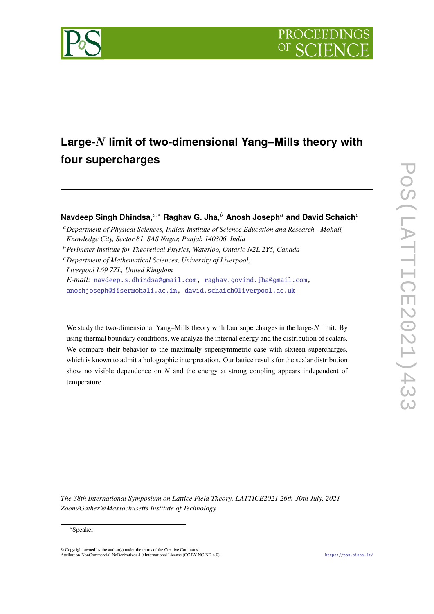



# Large-N limit of two-dimensional Yang–Mills theory with **four supercharges**

## **Navdeep Singh Dhindsa,**<sup>*a*,\*</sup> **Raghav G. Jha,<sup>***b***</sup> Anosh Joseph<sup>***a***</sup> and David Schaich<sup>***c***</sup>**

<sup>𝑎</sup>*Department of Physical Sciences, Indian Institute of Science Education and Research - Mohali, Knowledge City, Sector 81, SAS Nagar, Punjab 140306, India*

<sup>𝑏</sup>*Perimeter Institute for Theoretical Physics, Waterloo, Ontario N2L 2Y5, Canada*

<sup>𝑐</sup>*Department of Mathematical Sciences, University of Liverpool, Liverpool L69 7ZL, United Kingdom E-mail:* [navdeep.s.dhindsa@gmail.com,](mailto:navdeep.s.dhindsa@gmail.com) [raghav.govind.jha@gmail.com,](mailto:raghav.govind.jha@gmail.com) [anoshjoseph@iisermohali.ac.in,](mailto:anoshjoseph@iisermohali.ac.in) [david.schaich@liverpool.ac.uk](mailto:david.schaich@liverpool.ac.uk)

We study the two-dimensional Yang–Mills theory with four supercharges in the large-N limit. By using thermal boundary conditions, we analyze the internal energy and the distribution of scalars. We compare their behavior to the maximally supersymmetric case with sixteen supercharges, which is known to admit a holographic interpretation. Our lattice results for the scalar distribution show no visible dependence on  $N$  and the energy at strong coupling appears independent of temperature.

*The 38th International Symposium on Lattice Field Theory, LATTICE2021 26th-30th July, 2021 Zoom/Gather@Massachusetts Institute of Technology*

#### <sup>∗</sup>Speaker

 $\odot$  Copyright owned by the author(s) under the terms of the Creative Common Attribution-NonCommercial-NoDerivatives 4.0 International License (CC BY-NC-ND 4.0). <https://pos.sissa.it/>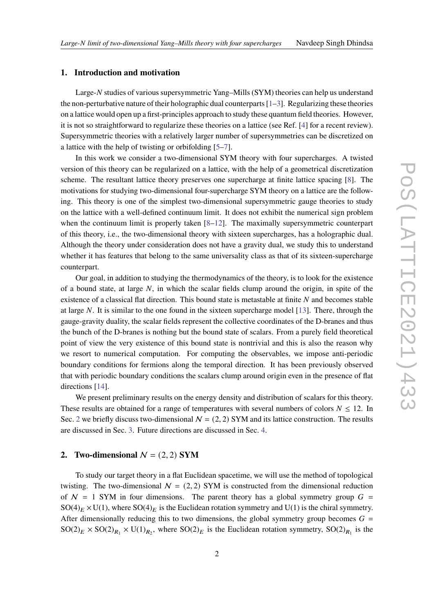### **1. Introduction and motivation**

Large-N studies of various supersymmetric Yang–Mills (SYM) theories can help us understand the non-perturbative nature of their holographic dual counterparts [\[1–](#page-6-0)[3\]](#page-6-1). Regularizing these theories on a lattice would open up a first-principles approach to study these quantum field theories. However, it is not so straightforward to regularize these theories on a lattice (see Ref. [\[4\]](#page-6-2) for a recent review). Supersymmetric theories with a relatively larger number of supersymmetries can be discretized on a lattice with the help of twisting or orbifolding [\[5](#page-6-3)[–7\]](#page-6-4).

In this work we consider a two-dimensional SYM theory with four supercharges. A twisted version of this theory can be regularized on a lattice, with the help of a geometrical discretization scheme. The resultant lattice theory preserves one supercharge at finite lattice spacing [\[8\]](#page-6-5). The motivations for studying two-dimensional four-supercharge SYM theory on a lattice are the following. This theory is one of the simplest two-dimensional supersymmetric gauge theories to study on the lattice with a well-defined continuum limit. It does not exhibit the numerical sign problem when the continuum limit is properly taken [\[8–](#page-6-5)[12\]](#page-6-6). The maximally supersymmetric counterpart of this theory, i.e., the two-dimensional theory with sixteen supercharges, has a holographic dual. Although the theory under consideration does not have a gravity dual, we study this to understand whether it has features that belong to the same universality class as that of its sixteen-supercharge counterpart.

Our goal, in addition to studying the thermodynamics of the theory, is to look for the existence of a bound state, at large  $N$ , in which the scalar fields clump around the origin, in spite of the existence of a classical flat direction. This bound state is metastable at finite  $N$  and becomes stable at large  $N$ . It is similar to the one found in the sixteen supercharge model [\[13\]](#page-7-0). There, through the gauge-gravity duality, the scalar fields represent the collective coordinates of the D-branes and thus the bunch of the D-branes is nothing but the bound state of scalars. From a purely field theoretical point of view the very existence of this bound state is nontrivial and this is also the reason why we resort to numerical computation. For computing the observables, we impose anti-periodic boundary conditions for fermions along the temporal direction. It has been previously observed that with periodic boundary conditions the scalars clump around origin even in the presence of flat directions [\[14\]](#page-7-1).

We present preliminary results on the energy density and distribution of scalars for this theory. These results are obtained for a range of temperatures with several numbers of colors  $N \le 12$ . In Sec. [2](#page-1-0) we briefly discuss two-dimensional  $N = (2, 2)$  SYM and its lattice construction. The results are discussed in Sec. [3.](#page-3-0) Future directions are discussed in Sec. [4.](#page-5-0)

#### <span id="page-1-0"></span>**2.** Two-dimensional  $N = (2, 2)$  SYM

To study our target theory in a flat Euclidean spacetime, we will use the method of topological twisting. The two-dimensional  $N = (2, 2)$  SYM is constructed from the dimensional reduction of  $N = 1$  SYM in four dimensions. The parent theory has a global symmetry group  $G =$  $SO(4)_E \times U(1)$ , where  $SO(4)_E$  is the Euclidean rotation symmetry and U(1) is the chiral symmetry. After dimensionally reducing this to two dimensions, the global symmetry group becomes  $G =$  $SO(2)_E \times SO(2)_{R_1} \times U(1)_{R_2}$ , where  $SO(2)_E$  is the Euclidean rotation symmetry,  $SO(2)_{R_1}$  is the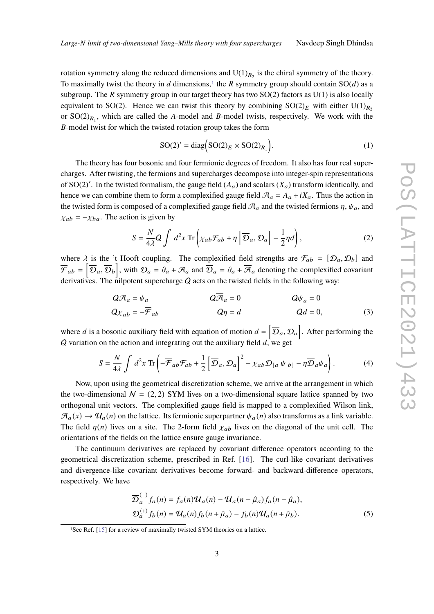rotation symmetry along the reduced dimensions and  $U(1)_{R_2}$  is the chiral symmetry of the theory. To maximally twist the theory in d dimensions,<sup>[1](#page-2-0)</sup> the R symmetry group should contain  $SO(d)$  as a subgroup. The R symmetry group in our target theory has two  $SO(2)$  factors as  $U(1)$  is also locally equivalent to SO(2). Hence we can twist this theory by combining  $SO(2)_E$  with either U(1)<sub>R<sub>2</sub></sub> or  $SO(2)_{R_1}$ , which are called the A-model and B-model twists, respectively. We work with the B-model twist for which the twisted rotation group takes the form

$$
SO(2)' = diag(SO(2)_E \times SO(2)_{R_1}).
$$
\n(1)

The theory has four bosonic and four fermionic degrees of freedom. It also has four real supercharges. After twisting, the fermions and supercharges decompose into integer-spin representations of SO(2)'. In the twisted formalism, the gauge field  $(A_a)$  and scalars  $(X_a)$  transform identically, and hence we can combine them to form a complexified gauge field  $\mathcal{A}_a = A_a + iX_a$ . Thus the action in the twisted form is composed of a complexified gauge field  $\mathcal{A}_a$  and the twisted fermions  $\eta$ ,  $\psi_a$ , and  $\chi_{ab} = -\chi_{ba}$ . The action is given by

$$
S = \frac{N}{4\lambda} Q \int d^2 x \operatorname{Tr} \left( \chi_{ab} \mathcal{F}_{ab} + \eta \left[ \overline{\mathcal{D}}_a, \mathcal{D}_a \right] - \frac{1}{2} \eta d \right), \tag{2}
$$

where  $\lambda$  is the 't Hooft coupling. The complexified field strengths are  $\mathcal{F}_{ab} = [\mathcal{D}_a, \mathcal{D}_b]$  and  $\overline{\mathcal{F}}_{ab} = [\overline{\mathcal{D}}_a, \overline{\mathcal{D}}_b]$ , with  $\mathcal{D}_a = \partial_a + \mathcal{A}_a$  and  $\overline{\mathcal{D}}_a = \partial_a + \overline{\mathcal{A}}_a$  denoting the complexified covariant derivatives. The nilpotent supercharge  $Q$  acts on the twisted fields in the following way:

$$
Q\mathcal{A}_a = \psi_a \qquad Q\overline{\mathcal{A}}_a = 0 \qquad Q\psi_a = 0
$$
  

$$
Q\chi_{ab} = -\overline{\mathcal{F}}_{ab} \qquad Q\eta = d \qquad Qd = 0,
$$
 (3)

where d is a bosonic auxiliary field with equation of motion  $d = [\overline{\mathcal{D}}_a, \mathcal{D}_a]$ . After performing the  $Q$  variation on the action and integrating out the auxiliary field  $d$ , we get

$$
S = \frac{N}{4\lambda} \int d^2x \operatorname{Tr} \left( -\overline{\mathcal{F}}_{ab} \mathcal{F}_{ab} + \frac{1}{2} \left[ \overline{\mathcal{D}}_a, \mathcal{D}_a \right]^2 - \chi_{ab} \mathcal{D}_{[a} \psi_{b]} - \eta \overline{\mathcal{D}}_a \psi_a \right). \tag{4}
$$

Now, upon using the geometrical discretization scheme, we arrive at the arrangement in which the two-dimensional  $N = (2, 2)$  SYM lives on a two-dimensional square lattice spanned by two orthogonal unit vectors. The complexified gauge field is mapped to a complexified Wilson link,  $\mathcal{A}_a(x) \to \mathcal{U}_a(n)$  on the lattice. Its fermionic superpartner  $\psi_a(n)$  also transforms as a link variable. The field  $\eta(n)$  lives on a site. The 2-form field  $\chi_{ab}$  lives on the diagonal of the unit cell. The orientations of the fields on the lattice ensure gauge invariance.

The continuum derivatives are replaced by covariant difference operators according to the geometrical discretization scheme, prescribed in Ref. [\[16\]](#page-7-2). The curl-like covariant derivatives and divergence-like covariant derivatives become forward- and backward-difference operators, respectively. We have

$$
\overline{\mathcal{D}}_a^{(-)} f_a(n) = f_a(n) \overline{\mathcal{U}}_a(n) - \overline{\mathcal{U}}_a(n - \hat{\mu}_a) f_a(n - \hat{\mu}_a),
$$
  

$$
\mathcal{D}_a^{(+)} f_b(n) = \mathcal{U}_a(n) f_b(n + \hat{\mu}_a) - f_b(n) \mathcal{U}_a(n + \hat{\mu}_b).
$$
 (5)

<span id="page-2-0"></span><sup>&</sup>lt;sup>1</sup>See Ref. [\[15\]](#page-7-3) for a review of maximally twisted SYM theories on a lattice.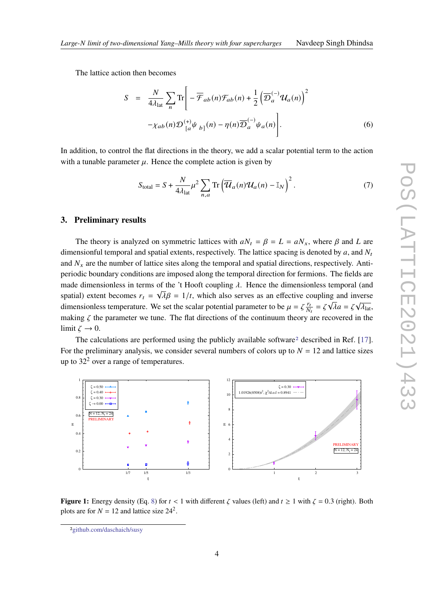The lattice action then becomes

$$
S = \frac{N}{4\lambda_{lat}} \sum_{n} \text{Tr} \left[ -\overline{\mathcal{F}}_{ab}(n) \mathcal{F}_{ab}(n) + \frac{1}{2} \left( \overline{\mathcal{D}}_{a}^{(-)} \mathcal{U}_{a}(n) \right)^{2} - \chi_{ab}(n) \mathcal{D}_{[a}^{(+)} \psi_{b]}(n) - \eta(n) \overline{\mathcal{D}}_{a}^{(-)} \psi_{a}(n) \right].
$$
 (6)

In addition, to control the flat directions in the theory, we add a scalar potential term to the action with a tunable parameter  $\mu$ . Hence the complete action is given by

$$
S_{\text{total}} = S + \frac{N}{4\lambda_{\text{lat}}} \mu^2 \sum_{n,a} \text{Tr} \left( \overline{\mathcal{U}}_a(n) \mathcal{U}_a(n) - \mathbb{I}_N \right)^2.
$$
 (7)

#### <span id="page-3-0"></span>**3. Preliminary results**

The theory is analyzed on symmetric lattices with  $aN_t = \beta = L = aN_x$ , where  $\beta$  and L are dimensionful temporal and spatial extents, respectively. The lattice spacing is denoted by  $a$ , and  $N_t$ and  $N_x$  are the number of lattice sites along the temporal and spatial directions, respectively. Antiperiodic boundary conditions are imposed along the temporal direction for fermions. The fields are made dimensionless in terms of the 't Hooft coupling  $\lambda$ . Hence the dimensionless temporal (and spatial) extent becomes  $r_t = \sqrt{\lambda} \beta = 1/t$ , which also serves as an effective coupling and inverse dimensionless temperature. We set the scalar potential parameter to be  $\mu = \zeta \frac{r_d}{N}$  $\frac{r_t}{N_t} = \zeta \sqrt{\lambda} a = \zeta \sqrt{\lambda_{\text{lat}}},$ making  $\zeta$  the parameter we tune. The flat directions of the continuum theory are recovered in the limit  $\zeta \to 0$ .

The calculations are performed using the publicly available software<sup>[2](#page-3-1)</sup> described in Ref. [\[17\]](#page-7-4). For the preliminary analysis, we consider several numbers of colors up to  $N = 12$  and lattice sizes up to  $32<sup>2</sup>$  over a range of temperatures.

<span id="page-3-2"></span>

**Figure 1:** Energy density (Eq. [8\)](#page-4-0) for  $t < 1$  with different  $\zeta$  values (left) and  $t \ge 1$  with  $\zeta = 0.3$  (right). Both plots are for  $N = 12$  and lattice size  $24^2$ .

<span id="page-3-1"></span><sup>2</sup>[github.com/daschaich/susy](https://github.com/daschaich/susy)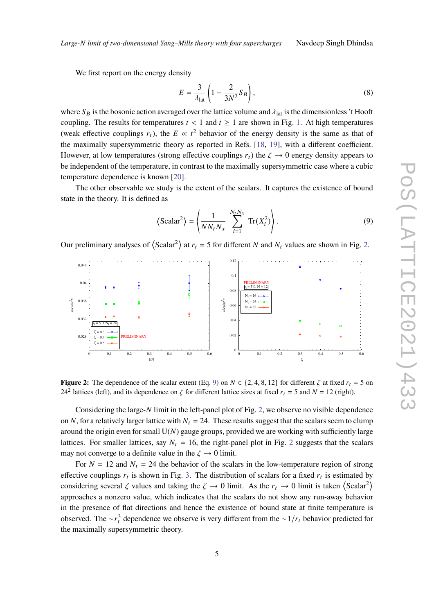We first report on the energy density

<span id="page-4-0"></span>
$$
E = \frac{3}{\lambda_{\text{lat}}} \left( 1 - \frac{2}{3N^2} S_B \right),\tag{8}
$$

where  $S_B$  is the bosonic action averaged over the lattice volume and  $\lambda_{lat}$  is the dimensionless 't Hooft coupling. The results for temperatures  $t < 1$  and  $t \ge 1$  are shown in Fig. [1.](#page-3-2) At high temperatures (weak effective couplings  $r_t$ ), the  $E \propto t^2$  behavior of the energy density is the same as that of the maximally supersymmetric theory as reported in Refs. [\[18,](#page-7-5) [19\]](#page-7-6), with a different coefficient. However, at low temperatures (strong effective couplings  $r_t$ ) the  $\zeta \to 0$  energy density appears to be independent of the temperature, in contrast to the maximally supersymmetric case where a cubic temperature dependence is known [\[20\]](#page-7-7).

The other observable we study is the extent of the scalars. It captures the existence of bound state in the theory. It is defined as

<span id="page-4-2"></span>
$$
\left\langle \text{Scalar}^2 \right\rangle = \left\langle \frac{1}{NN_t N_x} \sum_{i=1}^{N_t N_x} \text{Tr}(X_i^2) \right\rangle. \tag{9}
$$

Our preliminary analyses of  $\langle$ Scalar<sup>2</sup> $\rangle$  at  $r_t = 5$  for different N and  $N_t$  values are shown in Fig. [2.](#page-4-1)

<span id="page-4-1"></span>

**Figure 2:** The dependence of the scalar extent (Eq. [9\)](#page-4-2) on  $N \in \{2, 4, 8, 12\}$  for different  $\zeta$  at fixed  $r_t = 5$  on 24<sup>2</sup> lattices (left), and its dependence on  $\zeta$  for different lattice sizes at fixed  $r_t = 5$  and  $N = 12$  (right).

Considering the large- $N$  limit in the left-panel plot of Fig. [2,](#page-4-1) we observe no visible dependence on N, for a relatively larger lattice with  $N_t = 24$ . These results suggest that the scalars seem to clump around the origin even for small  $U(N)$  gauge groups, provided we are working with sufficiently large lattices. For smaller lattices, say  $N_t = 16$ , the right-panel plot in Fig. [2](#page-4-1) suggests that the scalars may not converge to a definite value in the  $\zeta \rightarrow 0$  limit.

For  $N = 12$  and  $N_t = 24$  the behavior of the scalars in the low-temperature region of strong effective couplings  $r_t$  is shown in Fig. [3.](#page-5-1) The distribution of scalars for a fixed  $r_t$  is estimated by considering several  $\zeta$  values and taking the  $\zeta \to 0$  limit. As the  $r_t \to 0$  limit is taken  $\langle$ Scalar<sup>2</sup> $\rangle$ approaches a nonzero value, which indicates that the scalars do not show any run-away behavior in the presence of flat directions and hence the existence of bound state at finite temperature is observed. The ∼ $r_t^3$  dependence we observe is very different from the ~1/ $r_t$  behavior predicted for the maximally supersymmetric theory.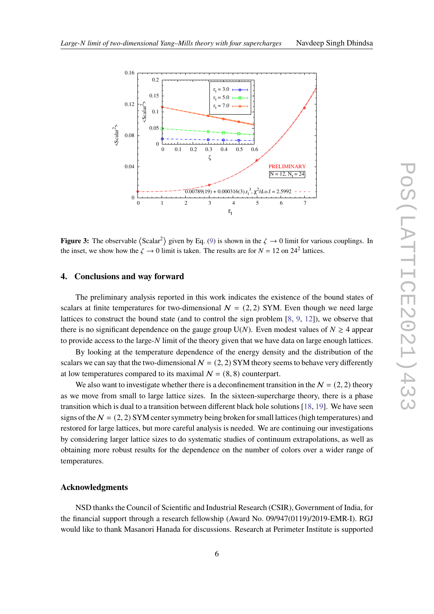<span id="page-5-1"></span>

**Figure 3:** The observable  $\langle$ Scalar<sup>2</sup> $\rangle$  given by Eq. [\(9\)](#page-4-2) is shown in the  $\zeta \to 0$  limit for various couplings. In the inset, we show how the  $\zeta \to 0$  limit is taken. The results are for  $N = 12$  on 24<sup>2</sup> lattices.

#### <span id="page-5-0"></span>**4. Conclusions and way forward**

The preliminary analysis reported in this work indicates the existence of the bound states of scalars at finite temperatures for two-dimensional  $N = (2, 2)$  SYM. Even though we need large lattices to construct the bound state (and to control the sign problem [\[8,](#page-6-5) [9,](#page-6-7) [12\]](#page-6-6)), we observe that there is no significant dependence on the gauge group U(N). Even modest values of  $N \geq 4$  appear to provide access to the large-N limit of the theory given that we have data on large enough lattices.

By looking at the temperature dependence of the energy density and the distribution of the scalars we can say that the two-dimensional  $N = (2, 2)$  SYM theory seems to behave very differently at low temperatures compared to its maximal  $N = (8, 8)$  counterpart.

We also want to investigate whether there is a deconfinement transition in the  $N = (2, 2)$  theory as we move from small to large lattice sizes. In the sixteen-supercharge theory, there is a phase transition which is dual to a transition between different black hole solutions [\[18,](#page-7-5) [19\]](#page-7-6). We have seen signs of the  $N = (2, 2)$  SYM center symmetry being broken for small lattices (high temperatures) and restored for large lattices, but more careful analysis is needed. We are continuing our investigations by considering larger lattice sizes to do systematic studies of continuum extrapolations, as well as obtaining more robust results for the dependence on the number of colors over a wider range of temperatures.

#### **Acknowledgments**

NSD thanks the Council of Scientific and Industrial Research (CSIR), Government of India, for the financial support through a research fellowship (Award No. 09/947(0119)/2019-EMR-I). RGJ would like to thank Masanori Hanada for discussions. Research at Perimeter Institute is supported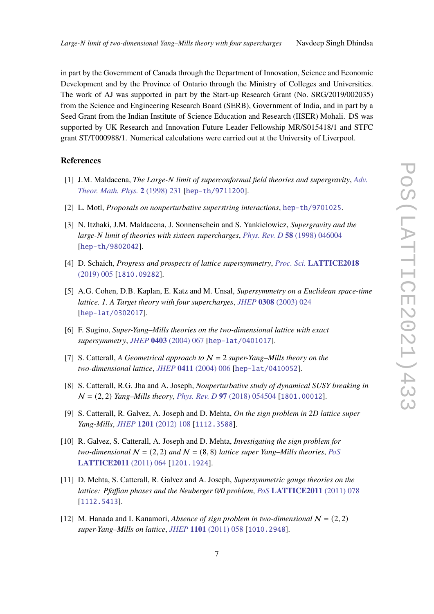in part by the Government of Canada through the Department of Innovation, Science and Economic Development and by the Province of Ontario through the Ministry of Colleges and Universities. The work of AJ was supported in part by the Start-up Research Grant (No. SRG/2019/002035) from the Science and Engineering Research Board (SERB), Government of India, and in part by a Seed Grant from the Indian Institute of Science Education and Research (IISER) Mohali. DS was supported by UK Research and Innovation Future Leader Fellowship MR/S015418/1 and STFC grant ST/T000988/1. Numerical calculations were carried out at the University of Liverpool.

### **References**

- <span id="page-6-0"></span>[1] J.M. Maldacena, *The Large-N limit of superconformal field theories and supergravity*, *[Adv.](https://doi.org/10.1023/A:1026654312961) [Theor. Math. Phys.](https://doi.org/10.1023/A:1026654312961)* **2** (1998) 231 [[hep-th/9711200](https://arxiv.org/abs/hep-th/9711200)].
- [2] L. Motl, *Proposals on nonperturbative superstring interactions*, [hep-th/9701025](https://arxiv.org/abs/hep-th/9701025).
- <span id="page-6-1"></span>[3] N. Itzhaki, J.M. Maldacena, J. Sonnenschein and S. Yankielowicz, *Supergravity and the large-*𝑁 *limit of theories with sixteen supercharges*, *Phys. Rev. D* **58** [\(1998\) 046004](https://doi.org/10.1103/PhysRevD.58.046004) [[hep-th/9802042](https://arxiv.org/abs/hep-th/9802042)].
- <span id="page-6-2"></span>[4] D. Schaich, *Progress and prospects of lattice supersymmetry*, *Proc. Sci.* **[LATTICE2018](https://doi.org/10.22323/1.334.0005)** [\(2019\) 005](https://doi.org/10.22323/1.334.0005) [[1810.09282](https://arxiv.org/abs/1810.09282)].
- <span id="page-6-3"></span>[5] A.G. Cohen, D.B. Kaplan, E. Katz and M. Unsal, *Supersymmetry on a Euclidean space-time lattice. 1. A Target theory with four supercharges*, *JHEP* **0308** [\(2003\) 024](https://doi.org/10.1088/1126-6708/2003/08/024) [[hep-lat/0302017](https://arxiv.org/abs/hep-lat/0302017)].
- [6] F. Sugino, *Super-Yang–Mills theories on the two-dimensional lattice with exact supersymmetry*, *JHEP* **0403** [\(2004\) 067](https://doi.org/10.1088/1126-6708/2004/03/067) [[hep-lat/0401017](https://arxiv.org/abs/hep-lat/0401017)].
- <span id="page-6-4"></span>[7] S. Catterall, *A Geometrical approach to* N = 2 *super-Yang–Mills theory on the two-dimensional lattice*, *JHEP* **0411** [\(2004\) 006](https://doi.org/10.1088/1126-6708/2004/11/006) [[hep-lat/0410052](https://arxiv.org/abs/hep-lat/0410052)].
- <span id="page-6-5"></span>[8] S. Catterall, R.G. Jha and A. Joseph, *Nonperturbative study of dynamical SUSY breaking in* N = (2, 2) *Yang–Mills theory*, *Phys. Rev. D* **97** [\(2018\) 054504](https://doi.org/10.1103/PhysRevD.97.054504) [[1801.00012](https://arxiv.org/abs/1801.00012)].
- <span id="page-6-7"></span>[9] S. Catterall, R. Galvez, A. Joseph and D. Mehta, *On the sign problem in 2D lattice super Yang-Mills*, *JHEP* **1201** [\(2012\) 108](https://doi.org/10.1007/JHEP01(2012)108) [[1112.3588](https://arxiv.org/abs/1112.3588)].
- [10] R. Galvez, S. Catterall, A. Joseph and D. Mehta, *Investigating the sign problem for two-dimensional*  $N = (2, 2)$  *and*  $N = (8, 8)$  *lattice super Yang–Mills theories, [PoS](https://doi.org/10.22323/1.139.0064)* **[LATTICE2011](https://doi.org/10.22323/1.139.0064)** (2011) 064 [[1201.1924](https://arxiv.org/abs/1201.1924)].
- [11] D. Mehta, S. Catterall, R. Galvez and A. Joseph, *Supersymmetric gauge theories on the lattice: Pfaffian phases and the Neuberger 0/0 problem*, *PoS* **[LATTICE2011](https://doi.org/10.22323/1.139.0078)** (2011) 078 [[1112.5413](https://arxiv.org/abs/1112.5413)].
- <span id="page-6-6"></span>[12] M. Hanada and I. Kanamori, *Absence of sign problem in two-dimensional*  $N = (2, 2)$ *super-Yang–Mills on lattice*, *JHEP* **1101** [\(2011\) 058](https://doi.org/10.1007/JHEP01(2011)058) [[1010.2948](https://arxiv.org/abs/1010.2948)].